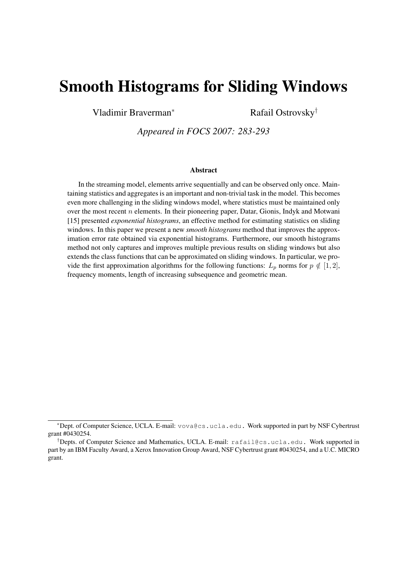# Smooth Histograms for Sliding Windows

Vladimir Braverman<sup>∗</sup> Rafail Ostrovsky<sup>†</sup>

*Appeared in FOCS 2007: 283-293*

#### Abstract

In the streaming model, elements arrive sequentially and can be observed only once. Maintaining statistics and aggregates is an important and non-trivial task in the model. This becomes even more challenging in the sliding windows model, where statistics must be maintained only over the most recent  $n$  elements. In their pioneering paper, Datar, Gionis, Indyk and Motwani [15] presented *exponential histograms*, an effective method for estimating statistics on sliding windows. In this paper we present a new *smooth histograms* method that improves the approximation error rate obtained via exponential histograms. Furthermore, our smooth histograms method not only captures and improves multiple previous results on sliding windows but also extends the class functions that can be approximated on sliding windows. In particular, we provide the first approximation algorithms for the following functions:  $L_p$  norms for  $p \notin [1, 2]$ , frequency moments, length of increasing subsequence and geometric mean.

<sup>∗</sup>Dept. of Computer Science, UCLA. E-mail: vova@cs.ucla.edu. Work supported in part by NSF Cybertrust grant #0430254.

<sup>†</sup>Depts. of Computer Science and Mathematics, UCLA. E-mail: rafail@cs.ucla.edu. Work supported in part by an IBM Faculty Award, a Xerox Innovation Group Award, NSF Cybertrust grant #0430254, and a U.C. MICRO grant.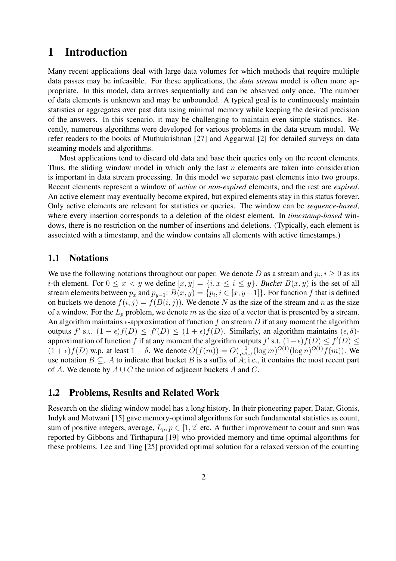# 1 Introduction

Many recent applications deal with large data volumes for which methods that require multiple data passes may be infeasible. For these applications, the *data stream* model is often more appropriate. In this model, data arrives sequentially and can be observed only once. The number of data elements is unknown and may be unbounded. A typical goal is to continuously maintain statistics or aggregates over past data using minimal memory while keeping the desired precision of the answers. In this scenario, it may be challenging to maintain even simple statistics. Recently, numerous algorithms were developed for various problems in the data stream model. We refer readers to the books of Muthukrishnan [27] and Aggarwal [2] for detailed surveys on data steaming models and algorithms.

Most applications tend to discard old data and base their queries only on the recent elements. Thus, the sliding window model in which only the last  $n$  elements are taken into consideration is important in data stream processing. In this model we separate past elements into two groups. Recent elements represent a window of *active* or *non-expired* elements, and the rest are *expired*. An active element may eventually become expired, but expired elements stay in this status forever. Only active elements are relevant for statistics or queries. The window can be *sequence-based*, where every insertion corresponds to a deletion of the oldest element. In *timestamp-based* windows, there is no restriction on the number of insertions and deletions. (Typically, each element is associated with a timestamp, and the window contains all elements with active timestamps.)

# 1.1 Notations

We use the following notations throughout our paper. We denote D as a stream and  $p_i, i \geq 0$  as its *i*-th element. For  $0 \le x < y$  we define  $[x, y] = \{i, x \le i \le y\}$ . *Bucket*  $B(x, y)$  is the set of all stream elements between  $p_x$  and  $p_{y-1}$ :  $B(x, y) = \{p_i, i \in [x, y-1]\}$ . For function f that is defined on buckets we denote  $f(i, j) = f(B(i, j))$ . We denote N as the size of the stream and n as the size of a window. For the  $L_p$  problem, we denote m as the size of a vector that is presented by a stream. An algorithm maintains  $\epsilon$ -approximation of function f on stream D if at any moment the algorithm outputs f' s.t.  $(1 - \epsilon)f(D) \leq f'(D) \leq (1 + \epsilon)f(D)$ . Similarly, an algorithm maintains  $(\epsilon, \delta)$ approximation of function f if at any moment the algorithm outputs f' s.t.  $(1-\epsilon)f(D) \le f'(D) \le$  $(1+\epsilon)f(D)$  w.p. at least  $1-\delta$ . We denote  $\tilde{O}(f(m)) = O(\frac{1}{\epsilon^{O(1)}}(\log m)^{O(1)}(\log n)^{O(1)}f(m))$ . We use notation  $B \subseteq_r A$  to indicate that bucket B is a suffix of A; i.e., it contains the most recent part of A. We denote by  $A \cup C$  the union of adjacent buckets A and C.

# 1.2 Problems, Results and Related Work

Research on the sliding window model has a long history. In their pioneering paper, Datar, Gionis, Indyk and Motwani [15] gave memory-optimal algorithms for such fundamental statistics as count, sum of positive integers, average,  $L_p, p \in [1, 2]$  etc. A further improvement to count and sum was reported by Gibbons and Tirthapura [19] who provided memory and time optimal algorithms for these problems. Lee and Ting [25] provided optimal solution for a relaxed version of the counting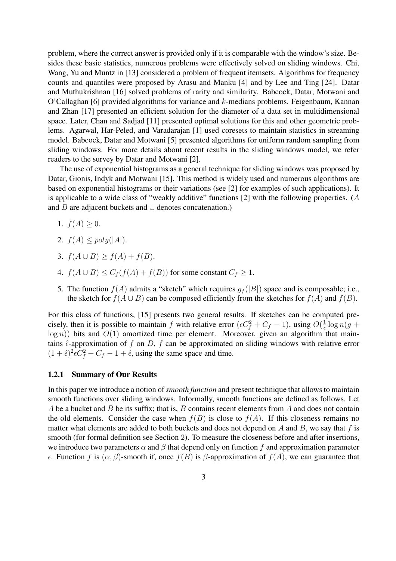problem, where the correct answer is provided only if it is comparable with the window's size. Besides these basic statistics, numerous problems were effectively solved on sliding windows. Chi, Wang, Yu and Muntz in [13] considered a problem of frequent itemsets. Algorithms for frequency counts and quantiles were proposed by Arasu and Manku [4] and by Lee and Ting [24]. Datar and Muthukrishnan [16] solved problems of rarity and similarity. Babcock, Datar, Motwani and O'Callaghan [6] provided algorithms for variance and  $k$ -medians problems. Feigenbaum, Kannan and Zhan [17] presented an efficient solution for the diameter of a data set in multidimensional space. Later, Chan and Sadjad [11] presented optimal solutions for this and other geometric problems. Agarwal, Har-Peled, and Varadarajan [1] used coresets to maintain statistics in streaming model. Babcock, Datar and Motwani [5] presented algorithms for uniform random sampling from sliding windows. For more details about recent results in the sliding windows model, we refer readers to the survey by Datar and Motwani [2].

The use of exponential histograms as a general technique for sliding windows was proposed by Datar, Gionis, Indyk and Motwani [15]. This method is widely used and numerous algorithms are based on exponential histograms or their variations (see [2] for examples of such applications). It is applicable to a wide class of "weakly additive" functions [2] with the following properties. (A and B are adjacent buckets and ∪ denotes concatenation.)

- 1.  $f(A) > 0$ .
- 2.  $f(A) \leq poly(|A|)$ .
- 3.  $f(A \cup B) \ge f(A) + f(B)$ .
- 4.  $f(A \cup B) \leq C_f(f(A) + f(B))$  for some constant  $C_f \geq 1$ .
- 5. The function  $f(A)$  admits a "sketch" which requires  $g_f(|B|)$  space and is composable; i.e., the sketch for  $f(A \cup B)$  can be composed efficiently from the sketches for  $f(A)$  and  $f(B)$ .

For this class of functions, [15] presents two general results. If sketches can be computed precisely, then it is possible to maintain f with relative error  $(\epsilon C_f^2 + C_f - 1)$ , using  $O(\frac{1}{\epsilon})$  $\frac{1}{\epsilon} \log n(g +$  $log n$ )) bits and  $O(1)$  amortized time per element. Moreover, given an algorithm that maintains  $\hat{\epsilon}$ -approximation of f on D, f can be approximated on sliding windows with relative error  $(1 + \hat{\epsilon})^2 \epsilon C_f^2 + C_f - 1 + \hat{\epsilon}$ , using the same space and time.

#### 1.2.1 Summary of Our Results

In this paper we introduce a notion of *smooth function* and present technique that allows to maintain smooth functions over sliding windows. Informally, smooth functions are defined as follows. Let A be a bucket and B be its suffix; that is, B contains recent elements from A and does not contain the old elements. Consider the case when  $f(B)$  is close to  $f(A)$ . If this closeness remains no matter what elements are added to both buckets and does not depend on  $A$  and  $B$ , we say that  $f$  is smooth (for formal definition see Section 2). To measure the closeness before and after insertions, we introduce two parameters  $\alpha$  and  $\beta$  that depend only on function f and approximation parameter  $\epsilon$ . Function f is  $(\alpha, \beta)$ -smooth if, once  $f(B)$  is  $\beta$ -approximation of  $f(A)$ , we can guarantee that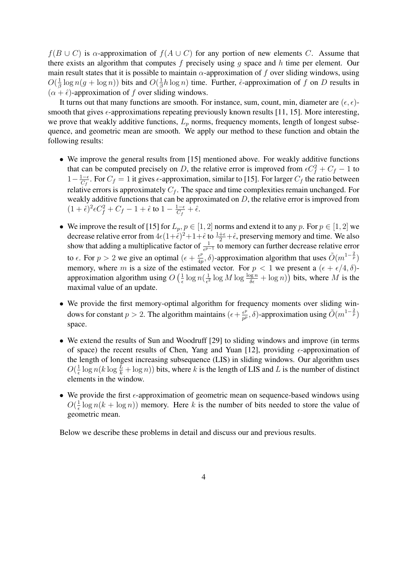$f(B\cup C)$  is  $\alpha$ -approximation of  $f(A\cup C)$  for any portion of new elements C. Assume that there exists an algorithm that computes f precisely using q space and  $h$  time per element. Our main result states that it is possible to maintain  $\alpha$ -approximation of f over sliding windows, using  $O(\frac{1}{4})$  $\frac{1}{\beta} \log n(g + \log n))$  bits and  $O(\frac{1}{\beta})$  $\frac{1}{\beta}h \log n$ ) time. Further,  $\hat{\epsilon}$ -approximation of f on D results in  $(\alpha + \hat{\epsilon})$ -approximation of f over sliding windows.

It turns out that many functions are smooth. For instance, sum, count, min, diameter are  $(\epsilon, \epsilon)$ smooth that gives  $\epsilon$ -approximations repeating previously known results [11, 15]. More interesting, we prove that weakly additive functions,  $L_p$  norms, frequency moments, length of longest subsequence, and geometric mean are smooth. We apply our method to these function and obtain the following results:

- We improve the general results from [15] mentioned above. For weakly additive functions that can be computed precisely on D, the relative error is improved from  $\epsilon C_f^2 + C_f - 1$  to  $1-\frac{1-\epsilon}{C}$  $\frac{1-\epsilon}{C_f}$ . For  $C_f = 1$  it gives  $\epsilon$ -approximation, similar to [15]. For larger  $C_f$  the ratio between relative errors is approximately  $C_f$ . The space and time complexities remain unchanged. For weakly additive functions that can be approximated on  $D$ , the relative error is improved from  $(1+\hat{\epsilon})^2 \epsilon C_f^2 + C_f - 1 + \hat{\epsilon}$  to  $1 - \frac{1-\epsilon}{C_f}$  $\frac{1-\epsilon}{C_f}+\hat{\epsilon}.$
- We improve the result of [15] for  $L_p, p \in [1, 2]$  norms and extend it to any p. For  $p \in [1, 2]$  we decrease relative error from  $4\epsilon(1+\tilde{\epsilon})^2+1+\tilde{\epsilon}$  to  $\frac{1+\epsilon}{2}+\tilde{\epsilon}$ , preserving memory and time. We also show that adding a multiplicative factor of  $\frac{1}{e^{p-1}}$  to memory can further decrease relative error to  $\epsilon$ . For  $p > 2$  we give an optimal  $(\epsilon + \frac{\epsilon^p}{4\epsilon})$  $\frac{\epsilon^p}{4p}, \delta$ )-approximation algorithm that uses  $\tilde{O}(m^{1-\frac{2}{p}})$ memory, where m is a size of the estimated vector. For  $p < 1$  we present a  $(\epsilon + \epsilon/4, \delta)$ approximation algorithm using  $O\left(\frac{1}{\epsilon}\right)$  $\frac{1}{\epsilon} \log n (\frac{1}{\epsilon^2})$  $\frac{1}{\epsilon^2} \log M \log \frac{\log n}{\delta \epsilon} + \log n)$  bits, where M is the maximal value of an update.
- We provide the first memory-optimal algorithm for frequency moments over sliding windows for constant  $p > 2$ . The algorithm maintains  $(\epsilon + \frac{\epsilon^p}{n^p})$  $\frac{\epsilon^p}{p^p},\delta$ )-approximation using  $\tilde{O}(m^{1-\frac{2}{p}})$ space.
- We extend the results of Sun and Woodruff [29] to sliding windows and improve (in terms of space) the recent results of Chen, Yang and Yuan [12], providing  $\epsilon$ -approximation of the length of longest increasing subsequence (LIS) in sliding windows. Our algorithm uses  $O(\frac{1}{\epsilon})$  $\frac{1}{\epsilon} \log n(k \log \frac{L}{k} + \log n)$ ) bits, where k is the length of LIS and L is the number of distinct elements in the window.
- We provide the first  $\epsilon$ -approximation of geometric mean on sequence-based windows using  $O(\frac{1}{\epsilon})$  $\frac{1}{\epsilon}$  log  $n(k + \log n)$ ) memory. Here k is the number of bits needed to store the value of geometric mean.

Below we describe these problems in detail and discuss our and previous results.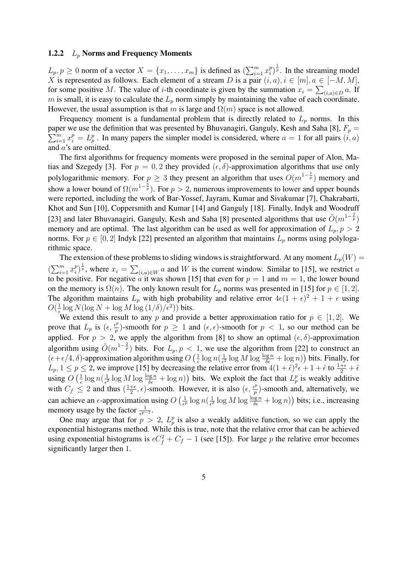#### 1.2.2  $L_p$  Norms and Frequency Moments

 $L_p, p \ge 0$  norm of a vector  $X = \{x_1, \ldots, x_m\}$  is defined as  $(\sum_{i=1}^m$  $\sum_{i=1}^m x_i^p$  $\binom{p}{i}^{\frac{1}{p}}$ . In the streaming model X is represented as follows. Each element of a stream D is a pair  $(i, a), i \in [m], a \in [-M, M]$ , for some positive M. The value of *i*-th coordinate is given by the summation  $x_i = \sum_{(i,a)\in D} a$ . If m is small, it is easy to calculate the  $L_p$  norm simply by maintaining the value of each coordinate. However, the usual assumption is that m is large and  $\Omega(m)$  space is not allowed.

Frequency moment is a fundamental problem that is directly related to  $L_p$  norms. In this paper we use the definition that was presented by Bhuvanagiri, Ganguly, Kesh and Saha [8],  $F_p = \sum_{r=0}^{m}$  $\sum_{i=1}^{m} x_i^p = L_p^p$ . In many papers the simpler model is considered, where  $a = 1$  for all pairs  $(i, a)$ and a's are omitted.

The first algorithms for frequency moments were proposed in the seminal paper of Alon, Matias and Szegedy [3]. For  $p = 0, 2$  they provided  $(\epsilon, \delta)$ -approximation algorithms that use only polylogarithmic memory. For  $p \geq 3$  they present an algorithm that uses  $O(m^{1-\frac{1}{p}})$  memory and show a lower bound of  $\Omega(m^{1-\frac{5}{p}})$ . For  $p > 2$ , numerous improvements to lower and upper bounds were reported, including the work of Bar-Yossef, Jayram, Kumar and Sivakumar [7], Chakrabarti, Khot and Sun [10], Coppersmith and Kumar [14] and Ganguly [18]. Finally, Indyk and Woodruff [23] and later Bhuvanagiri, Ganguly, Kesh and Saha [8] presented algorithms that use  $\tilde{O}(m^{1-\frac{2}{p}})$ memory and are optimal. The last algorithm can be used as well for approximation of  $L_p$ ,  $p > 2$ norms. For  $p \in [0, 2]$  Indyk [22] presented an algorithm that maintains  $L_p$  norms using polylogarithmic space.

The extension of these problems to sliding windows is straightforward. At any moment  $L_p(W)$  =  $\sum_{i=1}^n$  $\sum_{i=1}^m x_i^p$  $\binom{p}{i}^{\frac{1}{p}}$ , where  $x_i =$  $\overline{P}$  $(i,a) \in W$  and W is the current window. Similar to [15], we restrict a to be positive. For negative a it was shown [15] that even for  $p = 1$  and  $m = 1$ , the lower bound on the memory is  $\Omega(n)$ . The only known result for  $L_p$  norms was presented in [15] for  $p \in [1, 2]$ . The algorithm maintains  $L_p$  with high probability and relative error  $4\epsilon(1+\epsilon)^2 + 1 + \epsilon$  using  $O(\frac{1}{\epsilon})$  $\frac{1}{\epsilon} \log N(\log N + \log M \log (1/\delta) / \epsilon^2))$  bits.

We extend this result to any p and provide a better approximation ratio for  $p \in [1, 2]$ . We prove that  $L_p$  is  $(\epsilon, \frac{\epsilon^p}{n})$  $\frac{p}{p}$ )-smooth for  $p \ge 1$  and  $(\epsilon, \epsilon)$ -smooth for  $p < 1$ , so our method can be applied. For  $p > 2$ , we apply the algorithm from [8] to show an optimal  $(\epsilon, \delta)$ -approximation algorithm using  $\tilde{O}(m^{1-\frac{2}{p}})$  bits. For  $L_p, p < 1$ , we use the algorithm from [22] to construct an  $(\epsilon+\epsilon/4, \delta)$ -approximation algorithm using O  $\frac{1}{\sqrt{1}}$  $\frac{1}{\epsilon} \log n (\frac{1}{\epsilon^2})$  $\frac{1}{\epsilon^2} \log M \log \frac{\log n}{\delta \epsilon} + \log n$  $\frac{2}{\sqrt{2}}$ bits. Finally, for  $L_p, 1 \leq p \leq 2$ , we improve [15] by decreasing the relative error from  $4(1+\hat{\epsilon})^2\epsilon + 1 + \hat{\epsilon}$  to  $\frac{1+\epsilon}{2} + \hat{\epsilon}$ using  $O\left(\frac{1}{\epsilon}\right)$  $\frac{1}{\epsilon} \log n (\frac{1}{\epsilon^2})$  $\frac{1}{\epsilon^2} \log M \log \frac{\log n}{\delta \epsilon} + \log n$ ) bits. We exploit the fact that  $L_p^p$  is weakly additive with  $C_f \leq 2$  and thus  $\left(\frac{1+\epsilon}{2}\right)$  $\frac{1+\epsilon}{2}, \epsilon$ )-smooth. However, it is also  $(\epsilon, \frac{\epsilon^p}{p})$  $\binom{p}{p}$ -smooth and, alternatively, we can achieve an  $\epsilon$ -approximation using O  $\frac{1}{1}$  $\frac{1}{\epsilon^p}\log n(\frac{1}{\epsilon^2}$  $\frac{1}{\epsilon^2} \log M \log \frac{\log n}{\delta \epsilon} + \log n$ u<br>、 bits; i.e., increasing memory usage by the factor  $\frac{1}{\epsilon^{p-1}}$ .

One may argue that for  $p > 2$ ,  $L_p^p$  is also a weakly additive function, so we can apply the exponential histograms method. While this is true, note that the relative error that can be achieved using exponential histograms is  $\epsilon C_f^2 + C_f - 1$  (see [15]). For large p the relative error becomes significantly larger then 1.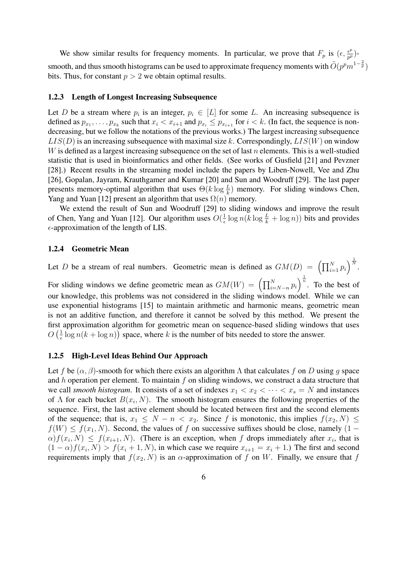We show similar results for frequency moments. In particular, we prove that  $F_p$  is  $(\epsilon, \frac{\epsilon^p}{n^p})$  $\frac{\epsilon^p}{p^p}$ )smooth, and thus smooth histograms can be used to approximate frequency moments with  $\tilde{O}(p^pm^{-1-\frac{2}{p}})$ bits. Thus, for constant  $p > 2$  we obtain optimal results.

#### 1.2.3 Length of Longest Increasing Subsequence

Let D be a stream where  $p_i$  is an integer,  $p_i \in [L]$  for some L. An increasing subsequence is defined as  $p_{x_1}, \ldots, p_{x_k}$  such that  $x_i < x_{i+1}$  and  $p_{x_i} \le p_{x_{i+1}}$  for  $i < k$ . (In fact, the sequence is nondecreasing, but we follow the notations of the previous works.) The largest increasing subsequence  $LIS(D)$  is an increasing subsequence with maximal size k. Correspondingly,  $LIS(W)$  on window W is defined as a largest increasing subsequence on the set of last  $n$  elements. This is a well-studied statistic that is used in bioinformatics and other fields. (See works of Gusfield [21] and Pevzner [28].) Recent results in the streaming model include the papers by Liben-Nowell, Vee and Zhu [26], Gopalan, Jayram, Krauthgamer and Kumar [20] and Sun and Woodruff [29]. The last paper presents memory-optimal algorithm that uses  $\Theta(k \log \frac{L}{k})$  memory. For sliding windows Chen, Yang and Yuan [12] present an algorithm that uses  $\Omega(n)$  memory.

We extend the result of Sun and Woodruff [29] to sliding windows and improve the result of Chen, Yang and Yuan [12]. Our algorithm uses  $O(\frac{1}{\epsilon})$  $\frac{1}{\epsilon} \log n(k \log \frac{L}{k} + \log n))$  bits and provides  $\epsilon$ -approximation of the length of LIS.

#### 1.2.4 Geometric Mean

Let D be a stream of real numbers. Geometric mean is defined as  $GM(D) = \left(\prod_{i=1}^{N} p_i\right)$  $\bigg\}^{\frac{1}{N}}$ .

For sliding windows we define geometric mean as  $GM(W) = \left(\prod_{i=N-n}^{N} p_i\right)$  $\int_{0}^{\frac{1}{n}}$ . To the best of our knowledge, this problems was not considered in the sliding windows model. While we can use exponential histograms [15] to maintain arithmetic and harmonic means, geometric mean is not an additive function, and therefore it cannot be solved by this method. We present the first approximation algorithm for geometric mean on sequence-based sliding windows that uses  $O\left(\frac{1}{\epsilon}\right)$  $\frac{1}{\epsilon} \log n(k + \log n)$  space, where k is the number of bits needed to store the answer.

#### 1.2.5 High-Level Ideas Behind Our Approach

Let f be  $(\alpha, \beta)$ -smooth for which there exists an algorithm  $\Lambda$  that calculates f on D using g space and h operation per element. To maintain f on sliding windows, we construct a data structure that we call *smooth histogram*. It consists of a set of indexes  $x_1 < x_2 < \cdots < x_s = N$  and instances of  $\Lambda$  for each bucket  $B(x_i, N)$ . The smooth histogram ensures the following properties of the sequence. First, the last active element should be located between first and the second elements of the sequence; that is,  $x_1 \leq N - n < x_2$ . Since f is monotonic, this implies  $f(x_2, N) \leq$  $f(W) \le f(x_1, N)$ . Second, the values of f on successive suffixes should be close, namely (1 –  $\alpha$ ) $f(x_i, N) \leq f(x_{i+1}, N)$ . (There is an exception, when f drops immediately after  $x_i$ , that is  $(1 - \alpha) f(x_i, N) > f(x_i + 1, N)$ , in which case we require  $x_{i+1} = x_i + 1$ .) The first and second requirements imply that  $f(x_2, N)$  is an  $\alpha$ -approximation of f on W. Finally, we ensure that f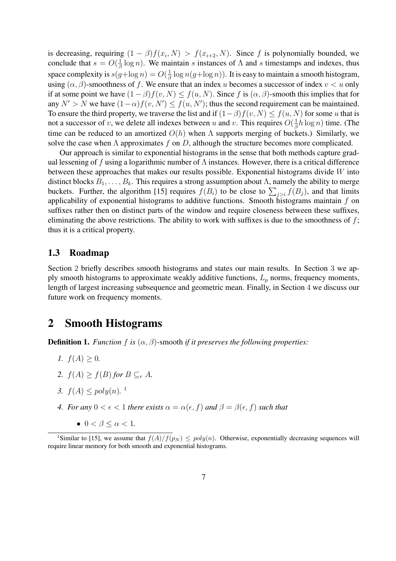is decreasing, requiring  $(1 - \beta) f(x_i, N) > f(x_{i+2}, N)$ . Since f is polynomially bounded, we conclude that  $s = O(\frac{1}{\beta})$  $\frac{1}{\beta}$  log n). We maintain s instances of  $\Lambda$  and s timestamps and indexes, thus space complexity is  $s(g + \log n) = O(\frac{1}{\beta})$  $\frac{1}{\beta} \log n(g + \log n)$ ). It is easy to maintain a smooth histogram, using  $(\alpha, \beta)$ -smoothness of f. We ensure that an index u becomes a successor of index  $v < u$  only if at some point we have  $(1 - \beta) f(v, N) \leq f(u, N)$ . Since f is  $(\alpha, \beta)$ -smooth this implies that for any  $N' > N$  we have  $(1 - \alpha) f(v, N') \leq f(u, N')$ ; thus the second requirement can be maintained. To ensure the third property, we traverse the list and if  $(1-\beta)f(v, N) \leq f(u, N)$  for some u that is not a successor of v, we delete all indexes between u and v. This requires  $O(\frac{1}{6})$  $\frac{1}{\beta}h \log n)$  time. (The time can be reduced to an amortized  $O(h)$  when  $\Lambda$  supports merging of buckets.) Similarly, we solve the case when  $\Lambda$  approximates f on D, although the structure becomes more complicated.

Our approach is similar to exponential histograms in the sense that both methods capture gradual lessening of f using a logarithmic number of  $\Lambda$  instances. However, there is a critical difference between these approaches that makes our results possible. Exponential histograms divide  $W$  into distinct blocks  $B_1, \ldots, B_k$ . This requires a strong assumption about Λ, namely the ability to merge buckets. Further, the algorithm [15] requires  $f(B_i)$  to be close to  $\sum_{j>i} f(B_j)$ , and that limits applicability of exponential histograms to additive functions. Smooth histograms maintain  $f$  on suffixes rather then on distinct parts of the window and require closeness between these suffixes, eliminating the above restrictions. The ability to work with suffixes is due to the smoothness of  $f$ ; thus it is a critical property.

## 1.3 Roadmap

Section 2 briefly describes smooth histograms and states our main results. In Section 3 we apply smooth histograms to approximate weakly additive functions,  $L_p$  norms, frequency moments, length of largest increasing subsequence and geometric mean. Finally, in Section 4 we discuss our future work on frequency moments.

# 2 Smooth Histograms

**Definition 1.** *Function* f *is*  $(\alpha, \beta)$ -smooth *if it preserves the following properties:* 

- *1.*  $f(A) \geq 0$ .
- 2.  $f(A) \geq f(B)$  *for*  $B \subseteq_r A$ *.*
- *3.*  $f(A) \leq poly(n)$ .<sup>1</sup>
- *4. For any*  $0 < \epsilon < 1$  *there exists*  $\alpha = \alpha(\epsilon, f)$  *and*  $\beta = \beta(\epsilon, f)$  *such that* 
	- $0 < \beta \leq \alpha < 1$ .

<sup>&</sup>lt;sup>1</sup>Similar to [15], we assume that  $f(A)/f(p_N) \leq poly(n)$ . Otherwise, exponentially decreasing sequences will require linear memory for both smooth and exponential histograms.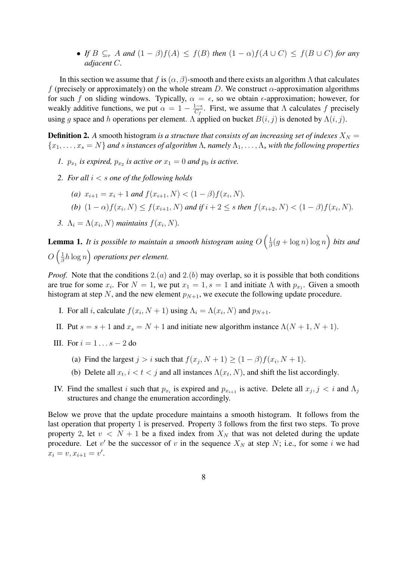• *If*  $B \subseteq_r A$  *and*  $(1 - \beta)f(A) \leq f(B)$  *then*  $(1 - \alpha)f(A \cup C) \leq f(B \cup C)$  *for any adjacent* C*.*

In this section we assume that f is  $(\alpha, \beta)$ -smooth and there exists an algorithm Λ that calculates f (precisely or approximately) on the whole stream D. We construct  $\alpha$ -approximation algorithms for such f on sliding windows. Typically,  $\alpha = \epsilon$ , so we obtain  $\epsilon$ -approximation; however, for weakly additive functions, we put  $\alpha = 1 - \frac{1-\epsilon}{C_s}$  $\frac{1-\epsilon}{C_f}$ . First, we assume that  $\Lambda$  calculates f precisely using g space and h operations per element. Λ applied on bucket  $B(i, j)$  is denoted by  $\Lambda(i, j)$ .

**Definition 2.** A smooth histogram *is a structure that consists of an increasing set of indexes*  $X_N =$  ${x_1, \ldots, x_s = N}$  *and s instances of algorithm*  $\Lambda$ , *namely*  $\Lambda_1, \ldots, \Lambda_s$  *with the following properties* 

- *1.*  $p_{x_1}$  *is expired,*  $p_{x_2}$  *is active or*  $x_1 = 0$  *and*  $p_0$  *is active.*
- *2. For all* i < s *one of the following holds*
	- (*a*)  $x_{i+1} = x_i + 1$  *and*  $f(x_{i+1}, N) < (1 \beta)f(x_i, N)$ .
	- (b)  $(1 \alpha) f(x_i, N) \le f(x_{i+1}, N)$  and if  $i + 2 \le s$  then  $f(x_{i+2}, N) < (1 \beta) f(x_i, N)$ .
- 3.  $\Lambda_i = \Lambda(x_i, N)$  *maintains*  $f(x_i, N)$ .

Lemma 1. *It is possible to maintain a smooth histogram using* O  $\frac{1}{2}$  $\frac{1}{\beta}(g + \log n) \log n$ ´ *bits and*  $O\left(\frac{1}{6}\right)$  $\frac{1}{2}$  $\frac{1}{\beta}h\log n$  *operations per element.* 

*Proof.* Note that the conditions  $2(a)$  and  $2(b)$  may overlap, so it is possible that both conditions are true for some  $x_i$ . For  $N = 1$ , we put  $x_1 = 1$ ,  $s = 1$  and initiate  $\Lambda$  with  $p_{x_1}$ . Given a smooth histogram at step N, and the new element  $p_{N+1}$ , we execute the following update procedure.

- I. For all *i*, calculate  $f(x_i, N + 1)$  using  $\Lambda_i = \Lambda(x_i, N)$  and  $p_{N+1}$ .
- II. Put  $s = s + 1$  and  $x_s = N + 1$  and initiate new algorithm instance  $\Lambda(N + 1, N + 1)$ .
- III. For  $i = 1 \ldots s 2$  do
	- (a) Find the largest  $j > i$  such that  $f(x_j, N + 1) \ge (1 \beta)f(x_i, N + 1)$ .
	- (b) Delete all  $x_t$ ,  $i < t < j$  and all instances  $\Lambda(x_t, N)$ , and shift the list accordingly.
- IV. Find the smallest i such that  $p_{x_i}$  is expired and  $p_{x_{i+1}}$  is active. Delete all  $x_j$ ,  $j \lt i$  and  $\Lambda_j$ structures and change the enumeration accordingly.

Below we prove that the update procedure maintains a smooth histogram. It follows from the last operation that property 1 is preserved. Property 3 follows from the first two steps. To prove property 2, let  $v < N + 1$  be a fixed index from  $X_N$  that was not deleted during the update procedure. Let v' be the successor of v in the sequence  $X_N$  at step N; i.e., for some i we had  $x_i = v, x_{i+1} = v'.$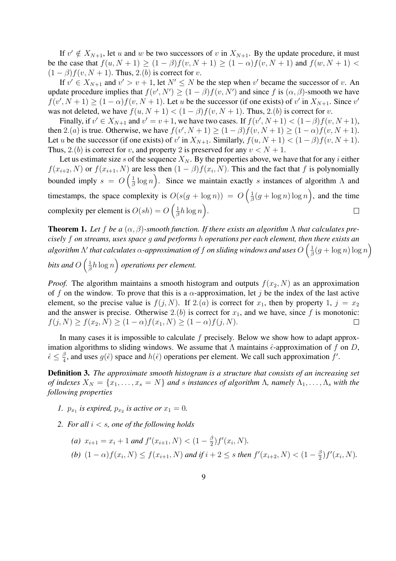If  $v' \notin X_{N+1}$ , let u and w be two successors of v in  $X_{N+1}$ . By the update procedure, it must be the case that  $f(u, N + 1) \ge (1 - \beta)f(v, N + 1) \ge (1 - \alpha)f(v, N + 1)$  and  $f(w, N + 1)$  $(1 - \beta) f(v, N + 1)$ . Thus, 2.(b) is correct for v.

If  $v' \in X_{N+1}$  and  $v' > v + 1$ , let  $N' \le N$  be the step when  $v'$  became the successor of v. An update procedure implies that  $f(v', N') \geq (1 - \beta) f(v, N')$  and since f is  $(\alpha, \beta)$ -smooth we have  $f(v', N + 1) \ge (1 - \alpha) f(v, N + 1)$ . Let u be the successor (if one exists) of v' in  $X_{N+1}$ . Since v' was not deleted, we have  $f(u, N + 1) < (1 - \beta)f(v, N + 1)$ . Thus, 2.(b) is correct for v.

Finally, if  $v' \in X_{N+1}$  and  $v' = v+1$ , we have two cases. If  $f(v', N+1) < (1-\beta)f(v, N+1)$ , then 2.(a) is true. Otherwise, we have  $f(v', N+1) \geq (1-\beta)f(v, N+1) \geq (1-\alpha)f(v, N+1)$ . Let u be the successor (if one exists) of v' in  $X_{N+1}$ . Similarly,  $f(u, N+1) < (1 - \beta) f(v, N+1)$ . Thus, 2.(b) is correct for v, and property 2 is preserved for any  $v < N + 1$ .

Let us estimate size s of the sequence  $X_N$ . By the properties above, we have that for any i either  $f(x_{i+2}, N)$  or  $f(x_{i+1}, N)$  are less then  $(1 - \beta)f(x_i, N)$ . This and the fact that f is polynomially bounded imply  $s = O\left(\frac{1}{\beta}\right)$  $\frac{1}{\beta} \log n$ ). Since we maintain exactly s instances of algorithm  $\Lambda$  and  $\frac{1}{2}$ timestamps, the space complexity is  $O(s(g + \log n)) = O\left(\frac{1}{\beta}\right)$  $\frac{1}{\beta}(g + \log n) \log n$ , and the time  $\begin{pmatrix} 1 & 1 \\ 1 & 1 \end{pmatrix}$ complexity per element is  $O(sh) = O\left(\frac{1}{\beta}\right)$  $\frac{1}{\beta}h\log n$ .  $\Box$ 

**Theorem 1.** Let f be a  $(\alpha, \beta)$ -smooth function. If there exists an algorithm  $\Lambda$  that calculates pre*cisely* f *on streams, uses space* g *and performs* h *operations per each element, then there exists an* ³ *algorithm* Λ 0 *that calculates* α*-approximation of* f *on sliding windows and uses* O 1  $\frac{1}{\beta}(g + \log n) \log n$ ´ *bits and*  $O\left(\frac{1}{\beta}\right)$  $\frac{1}{2}$   $\frac{1}{2}$   $\frac{1}{2}$   $\frac{1}{2}$  $\frac{1}{\beta}h\log n$  *operations per element.* 

*Proof.* The algorithm maintains a smooth histogram and outputs  $f(x_2, N)$  as an approximation of f on the window. To prove that this is a  $\alpha$ -approximation, let j be the index of the last active element, so the precise value is  $f(j, N)$ . If 2.(*a*) is correct for  $x_1$ , then by property 1,  $j = x_2$ and the answer is precise. Otherwise 2.(b) is correct for  $x_1$ , and we have, since f is monotonic:  $f(j, N) \ge f(x_2, N) \ge (1 - \alpha) f(x_1, N) \ge (1 - \alpha) f(j, N).$  $\Box$ 

In many cases it is impossible to calculate  $f$  precisely. Below we show how to adapt approximation algorithms to sliding windows. We assume that  $\Lambda$  maintains  $\hat{\epsilon}$ -approximation of f on D,  $\hat{\epsilon} \leq \frac{\beta}{4}$  $\frac{\beta}{4}$ , and uses  $g(\hat{\epsilon})$  space and  $h(\hat{\epsilon})$  operations per element. We call such approximation f'.

Definition 3. *The approximate smooth histogram is a structure that consists of an increasing set of indexes*  $X_N = \{x_1, \ldots, x_s = N\}$  *and s instances of algorithm*  $\Lambda$ *, namely*  $\Lambda_1, \ldots, \Lambda_s$  *with the following properties*

- *1.*  $p_{x_1}$  is expired,  $p_{x_2}$  is active or  $x_1 = 0$ .
- *2. For all* i < s*, one of the following holds*

\n- (a) 
$$
x_{i+1} = x_i + 1
$$
 and  $f'(x_{i+1}, N) < (1 - \frac{\beta}{2}) f'(x_i, N)$ .
\n- (b)  $(1 - \alpha) f(x_i, N) \leq f(x_{i+1}, N)$  and if  $i + 2 \leq s$  then  $f'(x_{i+2}, N) < (1 - \frac{\beta}{2}) f'(x_i, N)$ .
\n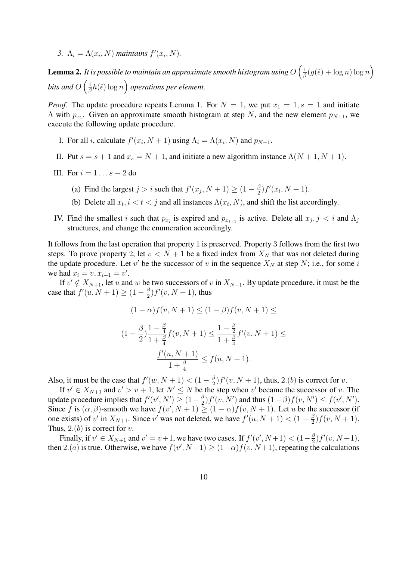3.  $\Lambda_i = \Lambda(x_i, N)$  *maintains*  $f'(x_i, N)$ .

Lemma 2. *It is possible to maintain an approximate smooth histogram using* O  $\sqrt{1}$  $\frac{1}{\beta}(g(\hat{\epsilon}) + \log n) \log n$ ´ *bits and*  $O\left(\frac{1}{\beta}\right)$  $\alpha$  $\frac{1}{\beta}h(\hat{\epsilon})\log n$  *operations per element.* 

*Proof.* The update procedure repeats Lemma 1. For  $N = 1$ , we put  $x_1 = 1$ ,  $s = 1$  and initiate A with  $p_{x_1}$ . Given an approximate smooth histogram at step N, and the new element  $p_{N+1}$ , we execute the following update procedure.

- I. For all *i*, calculate  $f'(x_i, N + 1)$  using  $\Lambda_i = \Lambda(x_i, N)$  and  $p_{N+1}$ .
- II. Put  $s = s + 1$  and  $x_s = N + 1$ , and initiate a new algorithm instance  $\Lambda(N + 1, N + 1)$ .
- III. For  $i = 1 \ldots s 2$  do
	- (a) Find the largest  $j > i$  such that  $f'(x_j, N + 1) \geq (1 \frac{\beta}{2})$  $\frac{\beta}{2}$ )  $f'(x_i, N+1)$ .
	- (b) Delete all  $x_t$ ,  $i < t < j$  and all instances  $\Lambda(x_t, N)$ , and shift the list accordingly.
- IV. Find the smallest i such that  $p_{x_i}$  is expired and  $p_{x_{i+1}}$  is active. Delete all  $x_j$ ,  $j < i$  and  $\Lambda_j$ structures, and change the enumeration accordingly.

It follows from the last operation that property 1 is preserved. Property 3 follows from the first two steps. To prove property 2, let  $v < N + 1$  be a fixed index from  $X_N$  that was not deleted during the update procedure. Let v' be the successor of v in the sequence  $X_N$  at step N; i.e., for some i we had  $x_i = v, x_{i+1} = v'$ .

If  $v' \notin X_{N+1}$ , let u and w be two successors of v in  $X_{N+1}$ . By update procedure, it must be the case that  $f'(u, N+1) \geq (1 - \frac{\beta}{2})$  $\frac{\beta}{2}$ ) $f'(v, N+1)$ , thus

$$
(1 - \alpha) f(v, N + 1) \le (1 - \beta) f(v, N + 1) \le
$$
  

$$
(1 - \frac{\beta}{2}) \frac{1 - \frac{\beta}{4}}{1 + \frac{\beta}{4}} f(v, N + 1) \le \frac{1 - \frac{\beta}{2}}{1 + \frac{\beta}{4}} f'(v, N + 1) \le
$$
  

$$
\frac{f'(u, N + 1)}{1 + \frac{\beta}{4}} \le f(u, N + 1).
$$

Also, it must be the case that  $f'(w, N + 1) < (1 - \frac{\beta}{2})$  $\frac{\beta}{2}$ )  $f'(v, N + 1)$ , thus, 2.(b) is correct for v.

If  $v' \in X_{N+1}$  and  $v' > v + 1$ , let  $N' \le N$  be the step when v' became the successor of v. The update procedure implies that  $f'(v', N') \geq (1 - \frac{\beta}{2})$  $\frac{\beta}{2}$ )  $f'(v, N')$  and thus  $(1 - \beta) f(v, N') \le f(v', N')$ . Since f is  $(\alpha, \beta)$ -smooth we have  $f(v', N + 1) \ge (1 - \alpha)f(v, N + 1)$ . Let u be the successor (if one exists) of v' in  $X_{N+1}$ . Since v' was not deleted, we have  $f'(u, N+1) < (1 - \frac{\beta}{2})$  $\frac{\beta}{2}$ )  $f(v, N + 1)$ . Thus,  $2.(b)$  is correct for v.

Finally, if  $v' \in X_{N+1}$  and  $v' = v+1$ , we have two cases. If  $f'(v', N+1) < (1-\frac{\beta}{2})$  $\frac{\beta}{2}$ )  $f'(v, N+1)$ , then 2.(*a*) is true. Otherwise, we have  $f(v', N+1) \ge (1-\alpha) f(v, N+1)$ , repeating the calculations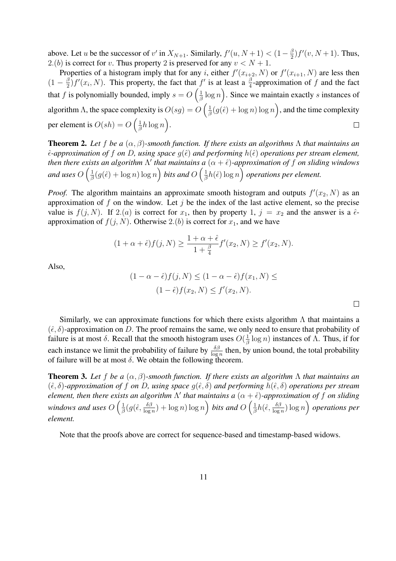above. Let u be the successor of v' in  $X_{N+1}$ . Similarly,  $f'(u, N+1) < (1-\frac{\beta}{2})$  $\frac{\beta}{2}$ )  $f'(v, N+1)$ . Thus, 2.(b) is correct for v. Thus property 2 is preserved for any  $v < N + 1$ .

Properties of a histogram imply that for any i, either  $f'(x_{i+2}, N)$  or  $f'(x_{i+1}, N)$  are less then  $(1-\frac{\beta}{2})$  $\frac{\beta}{2}$   $f'(x_i, N)$ . This property, the fact that  $f'$  is at least a  $\frac{\beta}{4}$ -approximation of f and the fact that f is polynomially bounded, imply  $s = O\left(\frac{1}{\beta}\right)$  $\frac{1}{\beta} \log n$ . Since we maintain exactly s instances of  $\frac{1}{\sqrt{1}}$ ´ algorithm  $\Lambda$ , the space complexity is  $O(sg) = O$  $\frac{1}{\beta}(g(\hat{\epsilon}) + \log n) \log n$ , and the time complexity  $\sum_{\ell}$ per element is  $O(sh) = O\left(\frac{1}{\beta}\right)$  $\frac{1}{\beta}h\log n$ .  $\Box$ 

Theorem 2. *Let* f *be a* (α, β)*-smooth function. If there exists an algorithms* Λ *that maintains an*  $\hat{\epsilon}$ -approximation of f on D, using space  $q(\hat{\epsilon})$  and performing  $h(\hat{\epsilon})$  operations per stream element, *then there exists an algorithm*  $\Lambda'$  *that maintains a*  $(\alpha + \hat{\epsilon})$ *-approximation of f on sliding windows* and uses  $O\left(\frac{1}{4}\right)$  $\frac{1}{\beta}(g(\hat \epsilon) + \log n) \log n \Big)$  bits and  $O\left(\frac{1}{\beta}\right)$  $\frac{1}{\beta}h(\hat{\epsilon})\log n$  *operations per element.* 

*Proof.* The algorithm maintains an approximate smooth histogram and outputs  $f'(x_2, N)$  as an approximation of  $f$  on the window. Let  $j$  be the index of the last active element, so the precise value is  $f(j, N)$ . If 2.(*a*) is correct for  $x_1$ , then by property 1,  $j = x_2$  and the answer is a  $\hat{\epsilon}$ approximation of  $f(j, N)$ . Otherwise 2.(b) is correct for  $x_1$ , and we have

$$
(1 + \alpha + \hat{\epsilon})f(j, N) \ge \frac{1 + \alpha + \hat{\epsilon}}{1 + \frac{\beta}{4}}f'(x_2, N) \ge f'(x_2, N).
$$

Also,

$$
(1 - \alpha - \hat{\epsilon})f(j, N) \le (1 - \alpha - \hat{\epsilon})f(x_1, N) \le
$$
  

$$
(1 - \hat{\epsilon})f(x_2, N) \le f'(x_2, N).
$$

Similarly, we can approximate functions for which there exists algorithm  $\Lambda$  that maintains a  $(\hat{\epsilon}, \delta)$ -approximation on D. The proof remains the same, we only need to ensure that probability of failure is at most  $\delta$ . Recall that the smooth histogram uses  $O(\frac{1}{\delta})$  $\frac{1}{\beta} \log n$ ) instances of  $\Lambda$ . Thus, if for each instance we limit the probability of failure by  $\frac{\delta \beta}{\log n}$  then, by union bound, the total probability of failure will be at most  $\delta$ . We obtain the following theorem.

**Theorem 3.** Let f be a  $(\alpha, \beta)$ -smooth function. If there exists an algorithm  $\Lambda$  that maintains an  $(\hat{\epsilon}, \delta)$ -approximation of f on D, using space  $g(\hat{\epsilon}, \delta)$  and performing  $h(\hat{\epsilon}, \delta)$  operations per stream *element, then there exists an algorithm*  $\Lambda'$  *that maintains a*  $(\alpha + \hat{\epsilon})$ -approximation of f on sliding *windows and uses*  $O\left(\frac{1}{\beta}\right)$  $\frac{1}{\beta}\big(g\big(\hat{\epsilon},\frac{\delta\beta}{\log \hat{\epsilon}}\big)$  $\left(\frac{\delta \beta}{\log n}\right) + \log n \right)$  bits and  $O\left(\frac{1}{\beta}\right)$  $\frac{1}{\beta}h(\hat{\epsilon},\frac{\delta\beta}{\log \delta}$  $\frac{\delta \beta}{\log n}$ ) log n  $\big)$  *operations per element.*

Note that the proofs above are correct for sequence-based and timestamp-based widows.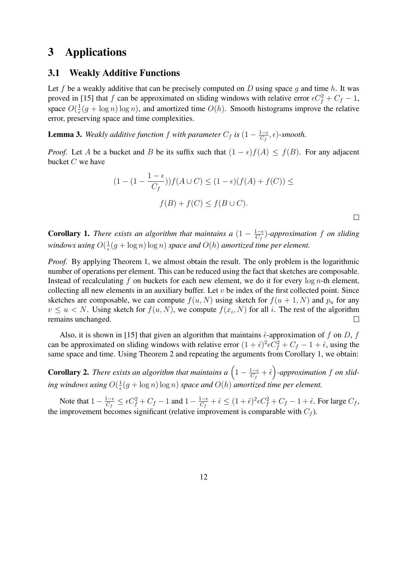# 3 Applications

## 3.1 Weakly Additive Functions

Let f be a weakly additive that can be precisely computed on  $D$  using space  $g$  and time  $h$ . It was proved in [15] that f can be approximated on sliding windows with relative error  $\epsilon C_f^2 + C_f - 1$ , space  $O(\frac{1}{\epsilon})$  $\frac{1}{\epsilon}(g + \log n) \log n$ , and amortized time  $O(h)$ . Smooth histograms improve the relative error, preserving space and time complexities.

**Lemma 3.** Weakly additive function f with parameter  $C_f$  is  $(1 - \frac{1-\epsilon}{C_f})$  $\frac{1-\epsilon}{C_f}, \epsilon)$ -smooth.

*Proof.* Let A be a bucket and B be its suffix such that  $(1 - \epsilon)f(A) \leq f(B)$ . For any adjacent bucket  $C$  we have

$$
(1 - (1 - \frac{1 - \epsilon}{C_f}))f(A \cup C) \le (1 - \epsilon)(f(A) + f(C)) \le
$$
  

$$
f(B) + f(C) \le f(B \cup C).
$$

 $\Box$ 

**Corollary 1.** *There exists an algorithm that maintains a*  $(1 - \frac{1-\epsilon}{C_s})$ C<sup>f</sup> )*-approximation* f *on sliding windows using*  $O(\frac{1}{\epsilon})$  $\frac{1}{\epsilon}(g + \log n) \log n$  *space and*  $O(h)$  *amortized time per element.* 

*Proof.* By applying Theorem 1, we almost obtain the result. The only problem is the logarithmic number of operations per element. This can be reduced using the fact that sketches are composable. Instead of recalculating f on buckets for each new element, we do it for every  $\log n$ -th element, collecting all new elements in an auxiliary buffer. Let  $v$  be index of the first collected point. Since sketches are composable, we can compute  $f(u, N)$  using sketch for  $f(u + 1, N)$  and  $p_u$  for any  $v \leq u < N$ . Using sketch for  $f(u, N)$ , we compute  $f(x_i, N)$  for all i. The rest of the algorithm remains unchanged. П

Also, it is shown in [15] that given an algorithm that maintains  $\hat{\epsilon}$ -approximation of f on D, f can be approximated on sliding windows with relative error  $(1 + \hat{\epsilon})^2 \epsilon C_f^2 + C_f - 1 + \hat{\epsilon}$ , using the same space and time. Using Theorem 2 and repeating the arguments from Corollary 1, we obtain:

**Corollary 2.** There exists an algorithm that maintains a  $\left(1 - \frac{1-\epsilon}{C}\right)$  $\frac{1-\epsilon}{C_f}+\hat{\epsilon}$ ´ *-approximation* f *on slid-* $\frac{1}{2}$  *ing windows using*  $O(\frac{1}{2})$  $\frac{1}{\epsilon}(g + \log n) \log n$  *space and*  $O(h)$  *amortized time per element.* 

Note that  $1 - \frac{1-\epsilon}{C}$  $\frac{1-\epsilon}{C_f} \leq \epsilon C_f^2 + C_f - 1$  and  $1 - \frac{1-\epsilon}{C_f}$  $\frac{1-\epsilon}{C_f} + \hat{\epsilon} \le (1+\hat{\epsilon})^2 \epsilon C_f^2 + C_f - 1 + \hat{\epsilon}$ . For large  $C_f$ , the improvement becomes significant (relative improvement is comparable with  $C_f$ ).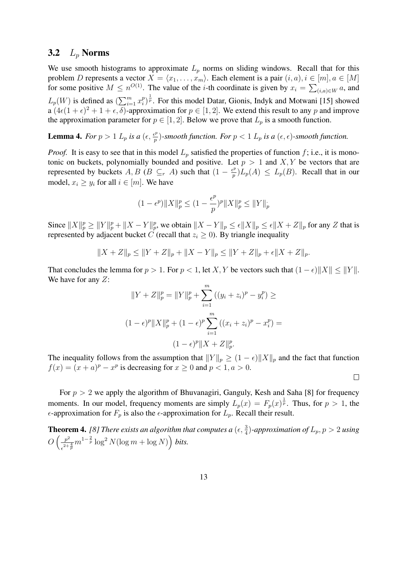## 3.2  $L_p$  Norms

We use smooth histograms to approximate  $L_p$  norms on sliding windows. Recall that for this problem D represents a vector  $X = \langle x_1, \ldots, x_m \rangle$ . Each element is a pair  $(i, a), i \in [m], a \in [M]$ for some positive  $M \leq n^{O(1)}$ . The value of the *i*-th coordinate is given by  $x_i = \sum_{(i,a)\in W} a$ , and  $L_p(W)$  is defined as  $\sum_{i=1}^{m}$  $\sum_{i=1}^m x_i^p$  $\binom{p}{i}^{\frac{1}{p}}$ . For this model Datar, Gionis, Indyk and Motwani [15] showed a  $(4\epsilon(1+\epsilon)^2 + 1 + \epsilon, \delta)$ -approximation for  $p \in [1, 2]$ . We extend this result to any p and improve the approximation parameter for  $p \in [1, 2]$ . Below we prove that  $L_p$  is a smooth function.

**Lemma 4.** For  $p > 1$   $L_p$  is a  $(\epsilon, \frac{\epsilon^p}{p})$  $\frac{p}{p}$ )-smooth function. For  $p < 1$   $L_p$  is a  $(\epsilon, \epsilon)$ -smooth function.

*Proof.* It is easy to see that in this model  $L_p$  satisfied the properties of function f; i.e., it is monotonic on buckets, polynomially bounded and positive. Let  $p > 1$  and  $X, Y$  be vectors that are represented by buckets A, B (B  $\subseteq_r$  A) such that  $(1 - \frac{e^p}{n})$  $\frac{p}{p} L_p(A) \leq L_p(B)$ . Recall that in our model,  $x_i \geq y_i$  for all  $i \in [m]$ . We have

$$
(1 - \epsilon^p) \|X\|_p^p \le (1 - \frac{\epsilon^p}{p})^p \|X\|_p^p \le \|Y\|_p
$$

Since  $||X||_p^p \ge ||Y||_p^p + ||X - Y||_p^p$ , we obtain  $||X - Y||_p \le \epsilon ||X||_p \le \epsilon ||X + Z||_p$  for any Z that is represented by adjacent bucket C (recall that  $z_i \geq 0$ ). By triangle inequality

$$
||X + Z||_p \le ||Y + Z||_p + ||X - Y||_p \le ||Y + Z||_p + \epsilon ||X + Z||_p.
$$

That concludes the lemma for  $p > 1$ . For  $p < 1$ , let X, Y be vectors such that  $(1 - \epsilon) \|X\| \le \|Y\|$ . We have for any Z:

$$
||Y + Z||_p^p = ||Y||_p^p + \sum_{i=1}^m ((y_i + z_i)^p - y_i^p) \ge
$$
  

$$
(1 - \epsilon)^p ||X||_p^p + (1 - \epsilon)^p \sum_{i=1}^m ((x_i + z_i)^p - x_i^p) =
$$
  

$$
(1 - \epsilon)^p ||X + Z||_p^p.
$$

The inequality follows from the assumption that  $||Y||_p \ge (1 - \epsilon) ||X||_p$  and the fact that function  $f(x) = (x + a)^p - x^p$  is decreasing for  $x \ge 0$  and  $p < 1, a > 0$ .

 $\Box$ 

For  $p > 2$  we apply the algorithm of Bhuvanagiri, Ganguly, Kesh and Saha [8] for frequency moments. In our model, frequency moments are simply  $L_p(x) = F_p(x)^{\frac{1}{p}}$ . Thus, for  $p > 1$ , the  $\epsilon$ -approximation for  $F_p$  is also the  $\epsilon$ -approximation for  $L_p$ . Recall their result.

**Theorem 4.** [8] There exists an algorithm that computes a  $(\epsilon, \frac{3}{4})$ -approximation of  $L_p, p > 2$  using  $O\left(\frac{p^2}{2}\right)$  $\frac{p^2}{e^{2+\frac{4}{p}}}m^{1-\frac{2}{p}}\log^2 N(\log m + \log N)\right)$  bits.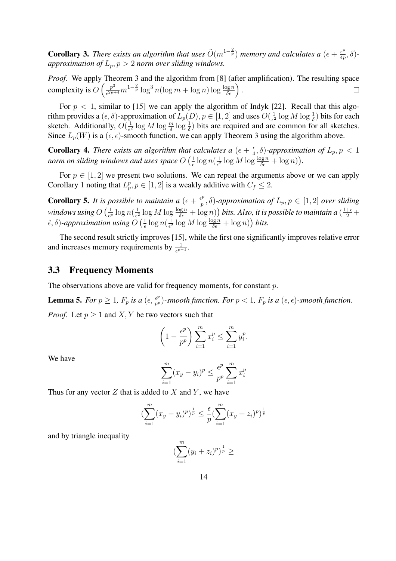**Corollary 3.** There exists an algorithm that uses  $\tilde{O}(m^{1-\frac{2}{p}})$  memory and calculates a  $(\epsilon + \frac{\epsilon^p}{4\pi})$  $\frac{\epsilon^p}{4p},\delta)$ *approximation of*  $L_p$ ,  $p > 2$  *norm over sliding windows.* 

*Proof.* We apply Theorem 3 and the algorithm from [8] (after amplification). The resulting space Theorem 3 and the algorithm from [8] (after<br>  $\frac{p^3}{\epsilon^{2p+4}}m^{1-\frac{2}{p}}\log^3 n(\log m + \log n)\log \frac{\log n}{\delta \epsilon}$ ). complexity is  $O\left(\frac{p^3}{\epsilon^{2p+1}}\right)$  $\Box$ 

For  $p < 1$ , similar to [15] we can apply the algorithm of Indyk [22]. Recall that this algorithm provides a  $(\epsilon, \delta)$ -approximation of  $L_p(D)$ ,  $p \in [1, 2]$  and uses  $O(\frac{1}{\epsilon^2})$  $\frac{1}{\epsilon^2} \log M \log \frac{1}{\delta}$ ) bits for each sketch. Additionally,  $O(\frac{1}{\epsilon^2})$  $\frac{1}{\epsilon^2}$  log  $M$  log  $\frac{m}{\delta}$  log  $\frac{1}{\delta}$ ) bits are required and are common for all sketches. Since  $L_p(W)$  is a  $(\epsilon, \epsilon)$ -smooth function, we can apply Theorem 3 using the algorithm above.

**Corollary 4.** *There exists an algorithm that calculates a*  $(\epsilon + \frac{\epsilon}{4})$ tt calculates a  $(\epsilon + \frac{\epsilon}{4}, \delta)$ -approximation of  $L_p, p < 1$ *norm on sliding windows and uses space* O 1  $\frac{1}{\epsilon} \log n (\frac{1}{\epsilon^2}$  $\frac{1}{\epsilon^2} \log M \log \frac{\log n}{\delta \epsilon} + \log n$ ).

For  $p \in [1, 2]$  we present two solutions. We can repeat the arguments above or we can apply Corollary 1 noting that  $L_p^p, p \in [1, 2]$  is a weakly additive with  $C_f \leq 2$ .

**Corollary 5.** It is possible to maintain a  $(\epsilon + \frac{\epsilon^p}{n})$ s possible to maintain a  $(\epsilon + \frac{\epsilon^p}{p}, \delta)$ -approximation of  $L_p, p \in [1, 2]$  *over sliding* windows using  $O\left(\frac{1}{\epsilon\epsilon}\right)$  $\frac{1}{\epsilon^p}\log n(\frac{1}{\epsilon^2}$  $\frac{1}{\epsilon^2} \log M \log \frac{\log n}{\delta \epsilon} + \log n)$  *bits. Also, it is possible to maintain a*  $(\frac{1+\epsilon}{2} + \epsilon)$  $\hat{\epsilon}, \delta$ )-approximation using  $O\left(\frac{1}{\epsilon}\right)$  $\frac{1}{\epsilon} \log n (\frac{1}{\epsilon^2})$  $\frac{1}{\epsilon^2} \log M \log \frac{\log n}{\delta \epsilon} + \log n)$ ) bits.

The second result strictly improves [15], while the first one significantly improves relative error and increases memory requirements by  $\frac{1}{e^{p-1}}$ .

## 3.3 Frequency Moments

The observations above are valid for frequency moments, for constant p.

**Lemma 5.** *For*  $p \geq 1$ ,  $F_p$  *is a*  $(\epsilon, \frac{\epsilon^p}{n^p})$  $\frac{\epsilon^p}{p^p}$ )-smooth function. For  $p < 1$ ,  $F_p$  is a  $(\epsilon, \epsilon)$ -smooth function. *Proof.* Let  $p > 1$  and X, Y be two vectors such that

$$
\left(1 - \frac{\epsilon^p}{p^p}\right) \sum_{i=1}^m x_i^p \le \sum_{i=1}^m y_i^p.
$$

We have

$$
\sum_{i=1}^{m} (x_y - y_i)^p \le \frac{\epsilon^p}{p^p} \sum_{i=1}^{m} x_i^p
$$

Thus for any vector  $Z$  that is added to  $X$  and  $Y$ , we have

$$
\left(\sum_{i=1}^{m} (x_y - y_i)^p\right)^{\frac{1}{p}} \le \frac{\epsilon}{p} \left(\sum_{i=1}^{m} (x_y + z_i)^p\right)^{\frac{1}{p}}
$$

and by triangle inequality

$$
(\sum_{i=1}^{m} (y_i + z_i)^p)^{\frac{1}{p}} \ge
$$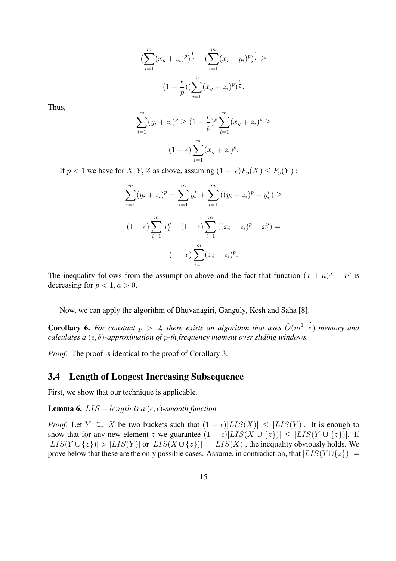$$
\left(\sum_{i=1}^{m} (x_y + z_i)^p\right)^{\frac{1}{p}} - \left(\sum_{i=1}^{m} (x_i - y_i)^p\right)^{\frac{1}{p}} \ge
$$

$$
(1 - \frac{\epsilon}{p})\left(\sum_{i=1}^{m} (x_y + z_i)^p\right)^{\frac{1}{p}}.
$$

Thus,

$$
\sum_{i=1}^{m} (y_i + z_i)^p \ge (1 - \frac{\epsilon}{p})^p \sum_{i=1}^{m} (x_y + z_i)^p \ge
$$
  

$$
(1 - \epsilon) \sum_{i=1}^{m} (x_y + z_i)^p.
$$

If  $p < 1$  we have for X, Y, Z as above, assuming  $(1 - \epsilon)F_p(X) \leq F_p(Y)$ :

$$
\sum_{i=1}^{m} (y_i + z_i)^p = \sum_{i=1}^{m} y_i^p + \sum_{i=1}^{m} ((y_i + z_i)^p - y_i^p) \ge
$$
  

$$
(1 - \epsilon) \sum_{i=1}^{m} x_i^p + (1 - \epsilon) \sum_{i=1}^{m} ((x_i + z_i)^p - x_i^p) =
$$
  

$$
(1 - \epsilon) \sum_{i=1}^{m} (x_i + z_i)^p.
$$

The inequality follows from the assumption above and the fact that function  $(x + a)^p - x^p$  is decreasing for  $p < 1, a > 0$ .

Now, we can apply the algorithm of Bhuvanagiri, Ganguly, Kesh and Saha [8].

**Corollary 6.** For constant  $p > 2$ , there exists an algorithm that uses  $\tilde{O}(m^{1-\frac{2}{p}})$  memory and *calculates a*  $(\epsilon, \delta)$ *-approximation of p-th frequency moment over sliding windows.* 

*Proof.* The proof is identical to the proof of Corollary 3.

#### 3.4 Length of Longest Increasing Subsequence

First, we show that our technique is applicable.

**Lemma 6.** *LIS* – *length is a* ( $\epsilon$ ,  $\epsilon$ )*-smooth function.* 

*Proof.* Let  $Y \subseteq_r X$  be two buckets such that  $(1 - \epsilon)|LIS(X)| \leq |LIS(Y)|$ . It is enough to show that for any new element z we guarantee  $(1 - \epsilon)|LIS(X \cup \{z\})| \leq |LIS(Y \cup \{z\})|$ . If  $|LIS(Y \cup \{z\})| > |LIS(Y)|$  or  $|LIS(X \cup \{z\})| = |LIS(X)|$ , the inequality obviously holds. We prove below that these are the only possible cases. Assume, in contradiction, that  $|LIS(Y \cup \{z\})|$  =

 $\Box$ 

 $\Box$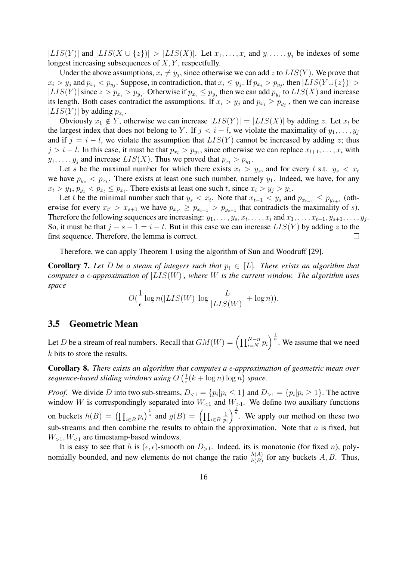$|LIS(Y)|$  and  $|LIS(X \cup \{z\})| > |LIS(X)|$ . Let  $x_1, \ldots, x_i$  and  $y_1, \ldots, y_j$  be indexes of some longest increasing subsequences of  $X, Y$ , respectfully.

Under the above assumptions,  $x_i \neq y_j$ , since otherwise we can add z to  $LIS(Y)$ . We prove that  $x_i > y_j$  and  $p_{x_i} < p_{y_j}$ . Suppose, in contradiction, that  $x_i \leq y_j$ . If  $p_{x_i} > p_{y_j}$ , then  $|LIS(Y \cup \{z\})| >$  $|LIS(Y)|$  since  $z > p_{x_i} > p_{y_j}$ . Otherwise if  $p_{x_i} \leq p_{y_j}$  then we can add  $p_{y_j}$  to  $LIS(X)$  and increase its length. Both cases contradict the assumptions. If  $x_i > y_j$  and  $p_{x_i} \ge p_{y_j}$ , then we can increase  $|LIS(Y)|$  by adding  $p_{x_i}$ .

Obviously  $x_1 \notin Y$ , otherwise we can increase  $|LIS(Y)| = |LIS(X)|$  by adding z. Let  $x_i$  be the largest index that does not belong to Y. If  $j < i - l$ , we violate the maximality of  $y_1, \ldots, y_j$ and if  $j = i - l$ , we violate the assumption that  $LIS(Y)$  cannot be increased by adding z; thus  $j > i - l$ . In this case, it must be that  $p_{x_i} > p_{y_1}$ , since otherwise we can replace  $x_{l+1}, \ldots, x_i$  with  $y_1, \ldots, y_j$  and increase  $LIS(X)$ . Thus we proved that  $p_{x_i} > p_{y_1}$ .

Let s be the maximal number for which there exists  $x_t > y_s$ , and for every t s.t.  $y_s < x_t$ we have  $p_{y_s} < p_{x_t}$ . There exists at least one such number, namely  $y_1$ . Indeed, we have, for any  $x_t > y_1, p_{y_1} < p_{x_t} \leq p_{x_t}$ . There exists at least one such t, since  $x_i > y_j > y_1$ .

Let t be the minimal number such that  $y_s < x_t$ . Note that  $x_{t-1} < y_s$  and  $p_{x_{t-1}} \le p_{y_{s+1}}$  (otherwise for every  $x_{t'} > x_{s+1}$  we have  $p_{x_{t'}} \ge p_{x_{t-1}} > p_{y_{s+1}}$  that contradicts the maximality of s). Therefore the following sequences are increasing:  $y_1, \ldots, y_s, x_t, \ldots, x_i$  and  $x_1, \ldots, x_{t-1}, y_{s+1}, \ldots, y_j$ . So, it must be that  $j - s - 1 = i - t$ . But in this case we can increase  $LIS(Y)$  by adding z to the first sequence. Therefore, the lemma is correct.  $\Box$ 

Therefore, we can apply Theorem 1 using the algorithm of Sun and Woodruff [29].

**Corollary 7.** Let D be a steam of integers such that  $p_i \in [L]$ . There exists an algorithm that *computes a*  $\epsilon$ *-approximation of*  $|LIS(W)|$ , where W is the current window. The algorithm uses *space*

$$
O(\frac{1}{\epsilon}\log n(|LIS(W)|\log \frac{L}{|LIS(W)|} + \log n)).
$$

### 3.5 Geometric Mean

Let  $D$  be a stream of real numbers. Recall that  $GM(W) = \left(\prod_{i=N}^{N-n}p_i\right)$  $\int_{0}^{\frac{1}{n}}$ . We assume that we need k bits to store the results.

**Corollary 8.** There exists an algorithm that computes a  $\epsilon$ -approximation of geometric mean over *sequence-based sliding windows using* O 1  $\frac{1}{\epsilon}(k + \log n) \log n$  *space.* 

*Proof.* We divide D into two sub-streams,  $D_{\leq 1} = \{p_i | p_i \leq 1\}$  and  $D_{\geq 1} = \{p_i | p_i \geq 1\}$ . The active window W is correspondingly separated into  $W_{\leq 1}$  and  $W_{\geq 1}$ . We define two auxiliary functions on buckets  $h(B) = \left(\prod_{i \in B} p_i\right)$  $\int_{0}^{\frac{1}{n}}$  and  $g(B) = \left(\prod_{i \in B}a_i\right)$ 1 pi  $n$ . We apply our method on these two sub-streams and then combine the results to obtain the approximation. Note that  $n$  is fixed, but  $W_{\geq 1}$ ,  $W_{\leq 1}$  are timestamp-based windows.

It is easy to see that h is  $(\epsilon, \epsilon)$ -smooth on  $D_{>1}$ . Indeed, its is monotonic (for fixed n), polynomially bounded, and new elements do not change the ratio  $\frac{h(A)}{h(B)}$  for any buckets A, B. Thus,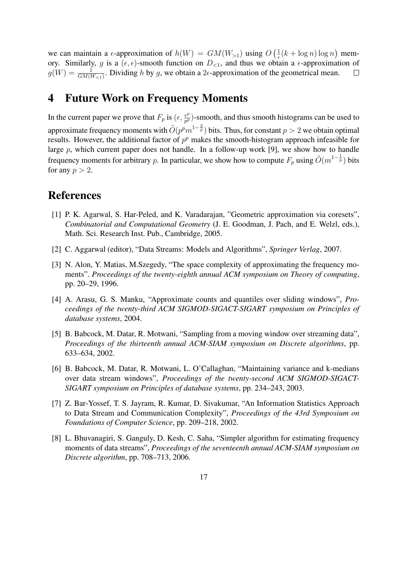$(1)$ ¢ we can maintain a  $\epsilon$ -approximation of  $h(W) = GM(W_{>1})$  using O  $\frac{1}{\epsilon}(k + \log n) \log n$ memory. Similarly, g is a  $(\epsilon, \epsilon)$ -smooth function on  $D_{\leq 1}$ , and thus we obtain a  $\epsilon$ -approximation of  $g(W) = \frac{1}{GM(W_{<1})}$ . Dividing h by g, we obtain a 2 $\epsilon$ -approximation of the geometrical mean.  $\Box$ 

# 4 Future Work on Frequency Moments

In the current paper we prove that  $F_p$  is  $(\epsilon, \frac{\epsilon^p}{n^p})$  $\frac{\epsilon^p}{p^p}$ )-smooth, and thus smooth histograms can be used to approximate frequency moments with  $\tilde{O}(p^pm^{-1-\frac{2}{p}})$  bits. Thus, for constant  $p > 2$  we obtain optimal results. However, the additional factor of  $p^p$  makes the smooth-histogram approach infeasible for large  $p$ , which current paper does not handle. In a follow-up work [9], we show how to handle frequency moments for arbitrary p. In particular, we show how to compute  $F_p$  using  $\tilde{O}(m^{1-\frac{1}{p}})$  bits for any  $p > 2$ .

# References

- [1] P. K. Agarwal, S. Har-Peled, and K. Varadarajan, "Geometric approximation via coresets", *Combinatorial and Computational Geometry* (J. E. Goodman, J. Pach, and E. Welzl, eds.), Math. Sci. Research Inst. Pub., Cambridge, 2005.
- [2] C. Aggarwal (editor), "Data Streams: Models and Algorithms", *Springer Verlag*, 2007.
- [3] N. Alon, Y. Matias, M.Szegedy, "The space complexity of approximating the frequency moments". *Proceedings of the twenty-eighth annual ACM symposium on Theory of computing*, pp. 20–29, 1996.
- [4] A. Arasu, G. S. Manku, "Approximate counts and quantiles over sliding windows", *Proceedings of the twenty-third ACM SIGMOD-SIGACT-SIGART symposium on Principles of database systems*, 2004.
- [5] B. Babcock, M. Datar, R. Motwani, "Sampling from a moving window over streaming data", *Proceedings of the thirteenth annual ACM-SIAM symposium on Discrete algorithms*, pp. 633–634, 2002.
- [6] B. Babcock, M. Datar, R. Motwani, L. O'Callaghan, "Maintaining variance and k-medians over data stream windows", *Proceedings of the twenty-second ACM SIGMOD-SIGACT-SIGART symposium on Principles of database systems*, pp. 234–243, 2003.
- [7] Z. Bar-Yossef, T. S. Jayram, R. Kumar, D. Sivakumar, "An Information Statistics Approach to Data Stream and Communication Complexity", *Proceedings of the 43rd Symposium on Foundations of Computer Science*, pp. 209–218, 2002.
- [8] L. Bhuvanagiri, S. Ganguly, D. Kesh, C. Saha, "Simpler algorithm for estimating frequency moments of data streams", *Proceedings of the seventeenth annual ACM-SIAM symposium on Discrete algorithm*, pp. 708–713, 2006.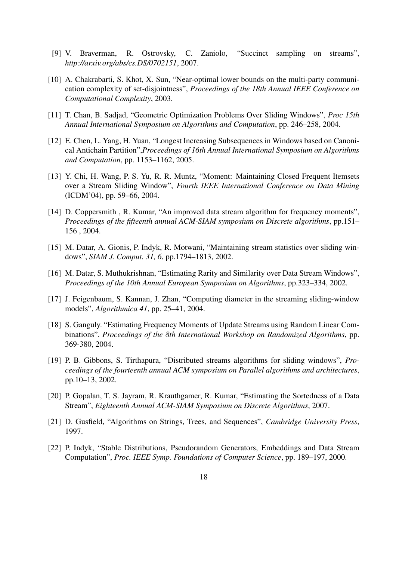- [9] V. Braverman, R. Ostrovsky, C. Zaniolo, "Succinct sampling on streams", *http://arxiv.org/abs/cs.DS/0702151*, 2007.
- [10] A. Chakrabarti, S. Khot, X. Sun, "Near-optimal lower bounds on the multi-party communication complexity of set-disjointness", *Proceedings of the 18th Annual IEEE Conference on Computational Complexity*, 2003.
- [11] T. Chan, B. Sadjad, "Geometric Optimization Problems Over Sliding Windows", *Proc 15th Annual International Symposium on Algorithms and Computation*, pp. 246–258, 2004.
- [12] E. Chen, L. Yang, H. Yuan, "Longest Increasing Subsequences in Windows based on Canonical Antichain Partition",*Proceedings of 16th Annual International Symposium on Algorithms and Computation*, pp. 1153–1162, 2005.
- [13] Y. Chi, H. Wang, P. S. Yu, R. R. Muntz, "Moment: Maintaining Closed Frequent Itemsets over a Stream Sliding Window", *Fourth IEEE International Conference on Data Mining* (ICDM'04), pp. 59–66, 2004.
- [14] D. Coppersmith, R. Kumar, "An improved data stream algorithm for frequency moments", *Proceedings of the fifteenth annual ACM-SIAM symposium on Discrete algorithms*, pp.151– 156 , 2004.
- [15] M. Datar, A. Gionis, P. Indyk, R. Motwani, "Maintaining stream statistics over sliding windows", *SIAM J. Comput. 31, 6*, pp.1794–1813, 2002.
- [16] M. Datar, S. Muthukrishnan, "Estimating Rarity and Similarity over Data Stream Windows", *Proceedings of the 10th Annual European Symposium on Algorithms*, pp.323–334, 2002.
- [17] J. Feigenbaum, S. Kannan, J. Zhan, "Computing diameter in the streaming sliding-window models", *Algorithmica 41*, pp. 25–41, 2004.
- [18] S. Ganguly. "Estimating Frequency Moments of Update Streams using Random Linear Combinations". *Proceedings of the 8th International Workshop on Randomized Algorithms*, pp. 369-380, 2004.
- [19] P. B. Gibbons, S. Tirthapura, "Distributed streams algorithms for sliding windows", *Proceedings of the fourteenth annual ACM symposium on Parallel algorithms and architectures*, pp.10–13, 2002.
- [20] P. Gopalan, T. S. Jayram, R. Krauthgamer, R. Kumar, "Estimating the Sortedness of a Data Stream", *Eighteenth Annual ACM-SIAM Symposium on Discrete Algorithms*, 2007.
- [21] D. Gusfield, "Algorithms on Strings, Trees, and Sequences", *Cambridge University Press*, 1997.
- [22] P. Indyk, "Stable Distributions, Pseudorandom Generators, Embeddings and Data Stream Computation", *Proc. IEEE Symp. Foundations of Computer Science*, pp. 189–197, 2000.